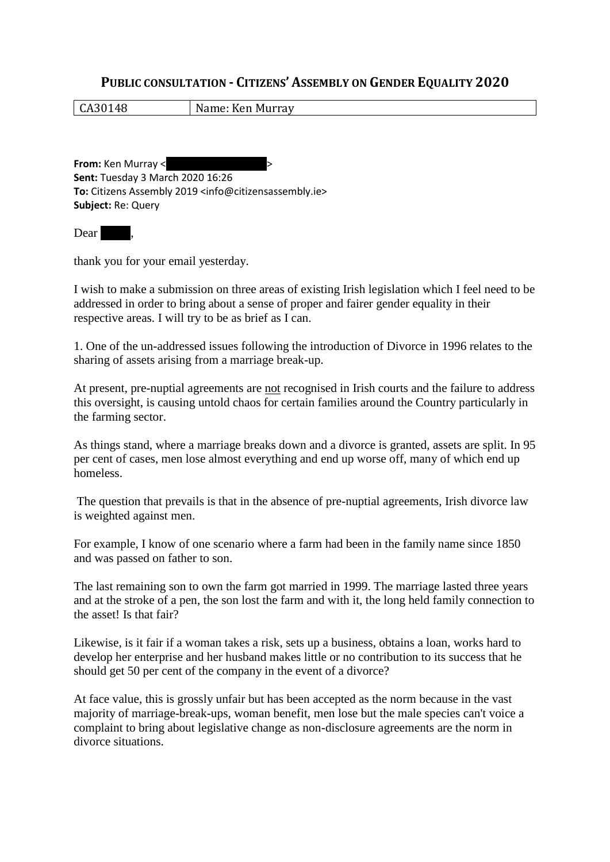## **PUBLIC CONSULTATION - CITIZENS' ASSEMBLY ON GENDER EQUALITY 2020**

CA30148 Name: Ken Murray

**From:** Ken Murray < **Sent:** Tuesday 3 March 2020 16:26 **To:** Citizens Assembly 2019 <info@citizensassembly.ie> **Subject:** Re: Query

Dear |

thank you for your email yesterday.

I wish to make a submission on three areas of existing Irish legislation which I feel need to be addressed in order to bring about a sense of proper and fairer gender equality in their respective areas. I will try to be as brief as I can.

1. One of the un-addressed issues following the introduction of Divorce in 1996 relates to the sharing of assets arising from a marriage break-up.

At present, pre-nuptial agreements are not recognised in Irish courts and the failure to address this oversight, is causing untold chaos for certain families around the Country particularly in the farming sector.

As things stand, where a marriage breaks down and a divorce is granted, assets are split. In 95 per cent of cases, men lose almost everything and end up worse off, many of which end up homeless.

The question that prevails is that in the absence of pre-nuptial agreements, Irish divorce law is weighted against men.

For example, I know of one scenario where a farm had been in the family name since 1850 and was passed on father to son.

The last remaining son to own the farm got married in 1999. The marriage lasted three years and at the stroke of a pen, the son lost the farm and with it, the long held family connection to the asset! Is that fair?

Likewise, is it fair if a woman takes a risk, sets up a business, obtains a loan, works hard to develop her enterprise and her husband makes little or no contribution to its success that he should get 50 per cent of the company in the event of a divorce?

At face value, this is grossly unfair but has been accepted as the norm because in the vast majority of marriage-break-ups, woman benefit, men lose but the male species can't voice a complaint to bring about legislative change as non-disclosure agreements are the norm in divorce situations.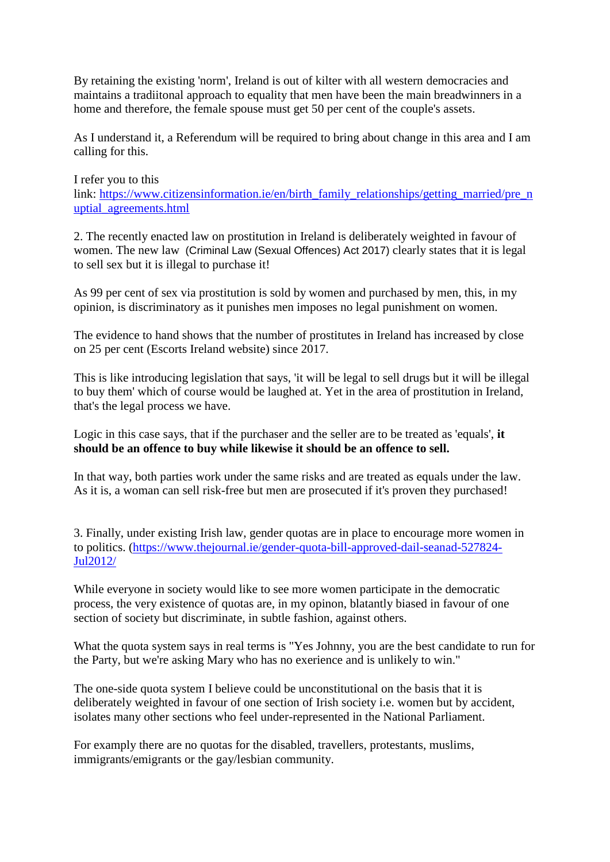By retaining the existing 'norm', Ireland is out of kilter with all western democracies and maintains a tradiitonal approach to equality that men have been the main breadwinners in a home and therefore, the female spouse must get 50 per cent of the couple's assets.

As I understand it, a Referendum will be required to bring about change in this area and I am calling for this.

I refer you to this link: [https://www.citizensinformation.ie/en/birth\\_family\\_relationships/getting\\_married/pre\\_n](https://www.citizensinformation.ie/en/birth_family_relationships/getting_married/pre_nuptial_agreements.html) [uptial\\_agreements.html](https://www.citizensinformation.ie/en/birth_family_relationships/getting_married/pre_nuptial_agreements.html)

2. The recently enacted law on prostitution in Ireland is deliberately weighted in favour of women. The new law (Criminal Law (Sexual Offences) Act 2017) clearly states that it is legal to sell sex but it is illegal to purchase it!

As 99 per cent of sex via prostitution is sold by women and purchased by men, this, in my opinion, is discriminatory as it punishes men imposes no legal punishment on women.

The evidence to hand shows that the number of prostitutes in Ireland has increased by close on 25 per cent (Escorts Ireland website) since 2017.

This is like introducing legislation that says, 'it will be legal to sell drugs but it will be illegal to buy them' which of course would be laughed at. Yet in the area of prostitution in Ireland, that's the legal process we have.

Logic in this case says, that if the purchaser and the seller are to be treated as 'equals', **it should be an offence to buy while likewise it should be an offence to sell.**

In that way, both parties work under the same risks and are treated as equals under the law. As it is, a woman can sell risk-free but men are prosecuted if it's proven they purchased!

3. Finally, under existing Irish law, gender quotas are in place to encourage more women in to politics. [\(https://www.thejournal.ie/gender-quota-bill-approved-dail-seanad-527824-](https://www.thejournal.ie/gender-quota-bill-approved-dail-seanad-527824-Jul2012/) [Jul2012/](https://www.thejournal.ie/gender-quota-bill-approved-dail-seanad-527824-Jul2012/)

While everyone in society would like to see more women participate in the democratic process, the very existence of quotas are, in my opinon, blatantly biased in favour of one section of society but discriminate, in subtle fashion, against others.

What the quota system says in real terms is "Yes Johnny, you are the best candidate to run for the Party, but we're asking Mary who has no exerience and is unlikely to win."

The one-side quota system I believe could be unconstitutional on the basis that it is deliberately weighted in favour of one section of Irish society i.e. women but by accident, isolates many other sections who feel under-represented in the National Parliament.

For examply there are no quotas for the disabled, travellers, protestants, muslims, immigrants/emigrants or the gay/lesbian community.